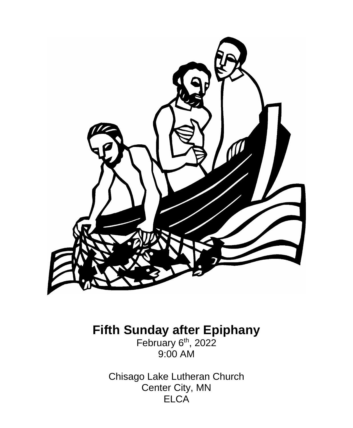

**Fifth Sunday after Epiphany**

February 6<sup>th</sup>, 2022 9:00 AM

Chisago Lake Lutheran Church Center City, MN ELCA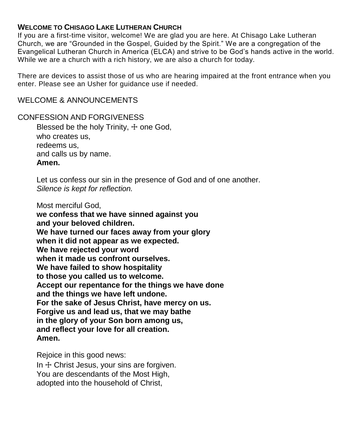### **WELCOME TO CHISAGO LAKE LUTHERAN CHURCH**

If you are a first-time visitor, welcome! We are glad you are here. At Chisago Lake Lutheran Church, we are "Grounded in the Gospel, Guided by the Spirit." We are a congregation of the Evangelical Lutheran Church in America (ELCA) and strive to be God's hands active in the world. While we are a church with a rich history, we are also a church for today.

There are devices to assist those of us who are hearing impaired at the front entrance when you enter. Please see an Usher for guidance use if needed.

#### WELCOME & ANNOUNCEMENTS

CONFESSION AND FORGIVENESS Blessed be the holy Trinity, + one God. who creates us, redeems us, and calls us by name. **Amen.**

> Let us confess our sin in the presence of God and of one another. *Silence is kept for reflection.*

Most merciful God,

**we confess that we have sinned against you and your beloved children. We have turned our faces away from your glory when it did not appear as we expected. We have rejected your word when it made us confront ourselves. We have failed to show hospitality to those you called us to welcome. Accept our repentance for the things we have done and the things we have left undone. For the sake of Jesus Christ, have mercy on us. Forgive us and lead us, that we may bathe in the glory of your Son born among us, and reflect your love for all creation. Amen.**

Rejoice in this good news:

In  $+$  Christ Jesus, your sins are forgiven. You are descendants of the Most High, adopted into the household of Christ,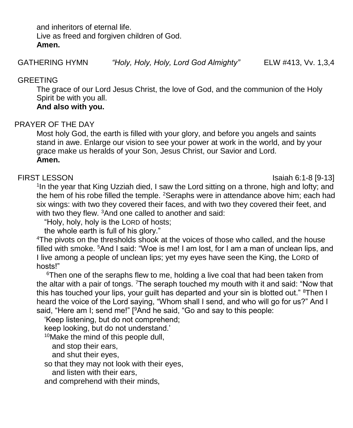and inheritors of eternal life. Live as freed and forgiven children of God. **Amen.**

## **GREETING**

The grace of our Lord Jesus Christ, the love of God, and the communion of the Holy Spirit be with you all.

## **And also with you.**

# PRAYER OF THE DAY

Most holy God, the earth is filled with your glory, and before you angels and saints stand in awe. Enlarge our vision to see your power at work in the world, and by your grace make us heralds of your Son, Jesus Christ, our Savior and Lord. **Amen.**

FIRST LESSON Isaiah 6:1-8 [9-13]

<sup>1</sup>In the year that King Uzziah died, I saw the Lord sitting on a throne, high and lofty; and the hem of his robe filled the temple. <sup>2</sup>Seraphs were in attendance above him; each had six wings: with two they covered their faces, and with two they covered their feet, and with two they flew. <sup>3</sup>And one called to another and said:

"Holy, holy, holy is the LORD of hosts;

the whole earth is full of his glory."

<sup>4</sup>The pivots on the thresholds shook at the voices of those who called, and the house filled with smoke. <sup>5</sup>And I said: "Woe is me! I am lost, for I am a man of unclean lips, and I live among a people of unclean lips; yet my eyes have seen the King, the LORD of hosts!"

<sup>6</sup>Then one of the seraphs flew to me, holding a live coal that had been taken from the altar with a pair of tongs. <sup>7</sup>The seraph touched my mouth with it and said: "Now that this has touched your lips, your guilt has departed and your sin is blotted out." <sup>8</sup>Then I heard the voice of the Lord saying, "Whom shall I send, and who will go for us?" And I said, "Here am I; send me!" [<sup>9</sup>And he said, "Go and say to this people:

'Keep listening, but do not comprehend;

keep looking, but do not understand.'

<sup>10</sup>Make the mind of this people dull,

and stop their ears,

and shut their eyes,

so that they may not look with their eyes,

and listen with their ears,

and comprehend with their minds,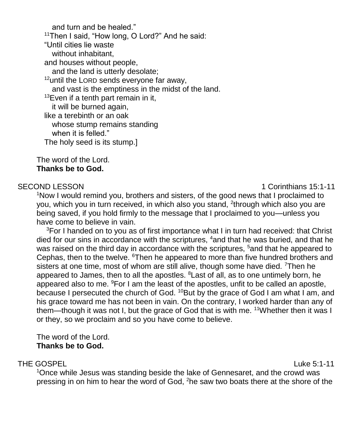and turn and be healed." 11Then I said, "How long, O Lord?" And he said: "Until cities lie waste without inhabitant, and houses without people, and the land is utterly desolate;  $12$ until the LORD sends everyone far away, and vast is the emptiness in the midst of the land.  $13$ Even if a tenth part remain in it, it will be burned again, like a terebinth or an oak whose stump remains standing when it is felled." The holy seed is its stump.]

The word of the Lord. **Thanks be to God.**

SECOND LESSON 1 Corinthians 15:1-11

<sup>1</sup>Now I would remind you, brothers and sisters, of the good news that I proclaimed to you, which you in turn received, in which also you stand, <sup>2</sup>through which also you are being saved, if you hold firmly to the message that I proclaimed to you—unless you have come to believe in vain.

<sup>3</sup>For I handed on to you as of first importance what I in turn had received: that Christ died for our sins in accordance with the scriptures, <sup>4</sup>and that he was buried, and that he was raised on the third day in accordance with the scriptures, <sup>5</sup>and that he appeared to Cephas, then to the twelve. <sup>6</sup>Then he appeared to more than five hundred brothers and sisters at one time, most of whom are still alive, though some have died. <sup>7</sup>Then he appeared to James, then to all the apostles. <sup>8</sup> Last of all, as to one untimely born, he appeared also to me.  $9$ For I am the least of the apostles, unfit to be called an apostle, because I persecuted the church of God. <sup>10</sup>But by the grace of God I am what I am, and his grace toward me has not been in vain. On the contrary, I worked harder than any of them—though it was not I, but the grace of God that is with me. <sup>11</sup>Whether then it was I or they, so we proclaim and so you have come to believe.

The word of the Lord. **Thanks be to God.**

### THE GOSPEL **Example 2: 1-11** Luke 5:1-11

<sup>1</sup>Once while Jesus was standing beside the lake of Gennesaret, and the crowd was pressing in on him to hear the word of God, <sup>2</sup>he saw two boats there at the shore of the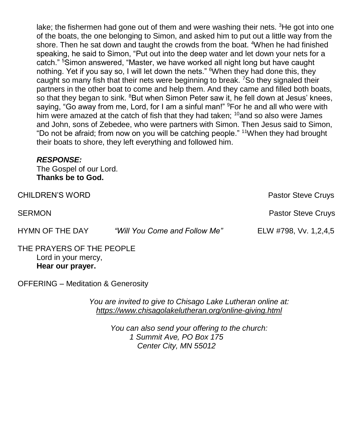lake; the fishermen had gone out of them and were washing their nets.  ${}^{3}$ He got into one of the boats, the one belonging to Simon, and asked him to put out a little way from the shore. Then he sat down and taught the crowds from the boat. <sup>4</sup>When he had finished speaking, he said to Simon, "Put out into the deep water and let down your nets for a catch." <sup>5</sup>Simon answered, "Master, we have worked all night long but have caught nothing. Yet if you say so, I will let down the nets." When they had done this, they caught so many fish that their nets were beginning to break. <sup>7</sup>So they signaled their partners in the other boat to come and help them. And they came and filled both boats, so that they began to sink. <sup>8</sup>But when Simon Peter saw it, he fell down at Jesus' knees, saying, "Go away from me, Lord, for I am a sinful man!" <sup>9</sup>For he and all who were with him were amazed at the catch of fish that they had taken;  $10$  and so also were James and John, sons of Zebedee, who were partners with Simon. Then Jesus said to Simon, "Do not be afraid; from now on you will be catching people." <sup>11</sup>When they had brought their boats to shore, they left everything and followed him.

### *RESPONSE:*

The Gospel of our Lord. **Thanks be to God.**

| <b>CHILDREN'S WORD</b> |                               | <b>Pastor Steve Cruys</b> |
|------------------------|-------------------------------|---------------------------|
| <b>SERMON</b>          |                               | <b>Pastor Steve Cruys</b> |
| HYMN OF THE DAY        | "Will You Come and Follow Me" | ELW #798, Vv. 1,2,4,5     |

#### THE PRAYERS OF THE PEOPLE Lord in your mercy, **Hear our prayer.**

OFFERING – Meditation & Generosity

*You are invited to give to Chisago Lake Lutheran online at: <https://www.chisagolakelutheran.org/online-giving.html>*

> *You can also send your offering to the church: 1 Summit Ave, PO Box 175 Center City, MN 55012*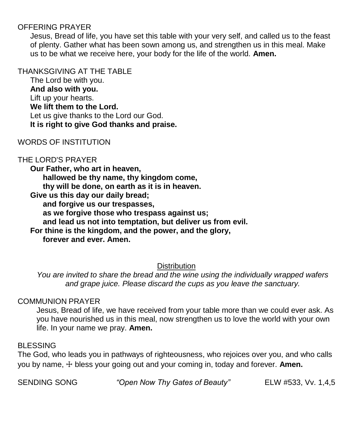## OFFERING PRAYER

Jesus, Bread of life, you have set this table with your very self, and called us to the feast of plenty. Gather what has been sown among us, and strengthen us in this meal. Make us to be what we receive here, your body for the life of the world. **Amen.**

#### THANKSGIVING AT THE TABLE

The Lord be with you. **And also with you.** Lift up your hearts. **We lift them to the Lord.** Let us give thanks to the Lord our God. **It is right to give God thanks and praise.**

## WORDS OF INSTITUTION

## THE LORD'S PRAYER

**Our Father, who art in heaven, hallowed be thy name, thy kingdom come, thy will be done, on earth as it is in heaven. Give us this day our daily bread; and forgive us our trespasses, as we forgive those who trespass against us; and lead us not into temptation, but deliver us from evil. For thine is the kingdom, and the power, and the glory, forever and ever. Amen.**

## **Distribution**

*You are invited to share the bread and the wine using the individually wrapped wafers and grape juice. Please discard the cups as you leave the sanctuary.*

### COMMUNION PRAYER

Jesus, Bread of life, we have received from your table more than we could ever ask. As you have nourished us in this meal, now strengthen us to love the world with your own life. In your name we pray. **Amen.**

### BLESSING

The God, who leads you in pathways of righteousness, who rejoices over you, and who calls you by name, ☩ bless your going out and your coming in, today and forever. **Amen.**

SENDING SONG *"Open Now Thy Gates of Beauty"* ELW #533, Vv. 1,4,5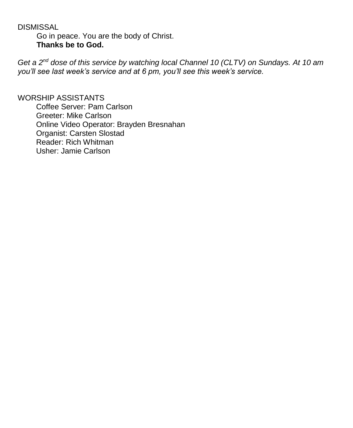DISMISSAL Go in peace. You are the body of Christ. **Thanks be to God.**

*Get a 2nd dose of this service by watching local Channel 10 (CLTV) on Sundays. At 10 am you'll see last week's service and at 6 pm, you'll see this week's service.*

WORSHIP ASSISTANTS Coffee Server: Pam Carlson Greeter: Mike Carlson Online Video Operator: Brayden Bresnahan Organist: Carsten Slostad Reader: Rich Whitman Usher: Jamie Carlson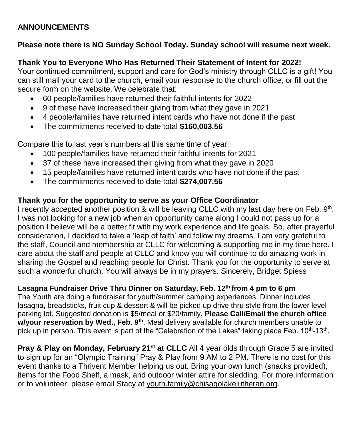## **ANNOUNCEMENTS**

## **Please note there is NO Sunday School Today. Sunday school will resume next week.**

## **Thank You to Everyone Who Has Returned Their Statement of Intent for 2022!**

Your continued commitment, support and care for God's ministry through CLLC is a gift! You can still mail your card to the church, email your response to the church office, or fill out the secure form on the website. We celebrate that:

- 60 people/families have returned their faithful intents for 2022
- 9 of these have increased their giving from what they gave in 2021
- 4 people/families have returned intent cards who have not done if the past
- The commitments received to date total **\$160,003.56**

Compare this to last year's numbers at this same time of year:

- 100 people/families have returned their faithful intents for 2021
- 37 of these have increased their giving from what they gave in 2020
- 15 people/families have returned intent cards who have not done if the past
- The commitments received to date total **\$274,007.56**

# **Thank you for the opportunity to serve as your Office Coordinator**

I recently accepted another position & will be leaving CLLC with my last day here on Feb. 9<sup>th</sup>. I was not looking for a new job when an opportunity came along I could not pass up for a position I believe will be a better fit with my work experience and life goals. So, after prayerful consideration, I decided to take a 'leap of faith' and follow my dreams. I am very grateful to the staff, Council and membership at CLLC for welcoming & supporting me in my time here. I care about the staff and people at CLLC and know you will continue to do amazing work in sharing the Gospel and reaching people for Christ. Thank you for the opportunity to serve at such a wonderful church. You will always be in my prayers. Sincerely, Bridget Spiess

# **Lasagna Fundraiser Drive Thru Dinner on Saturday, Feb. 12th from 4 pm to 6 pm**

The Youth are doing a fundraiser for youth/summer camping experiences. Dinner includes lasagna, breadsticks, fruit cup & dessert & will be picked up drive thru style from the lower level parking lot. Suggested donation is \$5/meal or \$20/family. **Please Call/Email the church office w/your reservation by Wed., Feb. 9th**. Meal delivery available for church members unable to pick up in person. This event is part of the "Celebration of the Lakes" taking place Feb. 10<sup>th</sup>-13<sup>th</sup>.

**Pray & Play on Monday, February 21st at CLLC** All 4 year olds through Grade 5 are invited to sign up for an "Olympic Training" Pray & Play from 9 AM to 2 PM. There is no cost for this event thanks to a Thrivent Member helping us out. Bring your own lunch (snacks provided), items for the Food Shelf, a mask, and outdoor winter attire for sledding. For more information or to volunteer, please email Stacy at youth.family@chisagolakelutheran.org.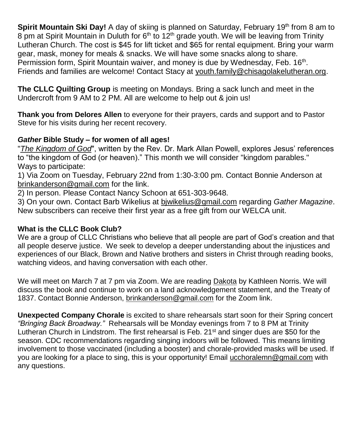Spirit Mountain Ski Day! A day of skiing is planned on Saturday, February 19<sup>th</sup> from 8 am to 8 pm at Spirit Mountain in Duluth for  $6<sup>th</sup>$  to 12<sup>th</sup> grade youth. We will be leaving from Trinity Lutheran Church. The cost is \$45 for lift ticket and \$65 for rental equipment. Bring your warm gear, mask, money for meals & snacks. We will have some snacks along to share. Permission form, Spirit Mountain waiver, and money is due by Wednesday, Feb. 16<sup>th</sup>. Friends and families are welcome! Contact Stacy at [youth.family@chisagolakelutheran.org.](mailto:youth.family@chisagolakelutheran.org)

**The CLLC Quilting Group** is meeting on Mondays. Bring a sack lunch and meet in the Undercroft from 9 AM to 2 PM. All are welcome to help out & join us!

**Thank you from Delores Allen** to everyone for their prayers, cards and support and to Pastor Steve for his visits during her recent recovery.

## *Gather* **Bible Study – for women of all ages!**

"*The Kingdom of God*", written by the Rev. Dr. Mark Allan Powell, explores Jesus' references to "the kingdom of God (or heaven)." This month we will consider "kingdom parables." Ways to participate:

1) Via Zoom on Tuesday, February 22nd from 1:30-3:00 pm. Contact Bonnie Anderson at brinkanderson@gmail.com for the link.

2) In person. Please Contact Nancy Schoon at 651-303-9648.

3) On your own. Contact Barb Wikelius at bjwikelius@gmail.com regarding *Gather Magazine*. New subscribers can receive their first year as a free gift from our WELCA unit.

### **What is the CLLC Book Club?**

We are a group of CLLC Christians who believe that all people are part of God's creation and that all people deserve justice. We seek to develop a deeper understanding about the injustices and experiences of our Black, Brown and Native brothers and sisters in Christ through reading books, watching videos, and having conversation with each other.

We will meet on March 7 at 7 pm via Zoom. We are reading Dakota by Kathleen Norris. We will discuss the book and continue to work on a land acknowledgement statement, and the Treaty of 1837. Contact Bonnie Anderson, [brinkanderson@gmail.com](mailto:brinkanderson@gmail.com) for the Zoom link.

**Unexpected Company Chorale** is excited to share rehearsals start soon for their Spring concert *"Bringing Back Broadway."* Rehearsals will be Monday evenings from 7 to 8 PM at Trinity Lutheran Church in Lindstrom. The first rehearsal is Feb.  $21<sup>st</sup>$  and singer dues are \$50 for the season. CDC recommendations regarding singing indoors will be followed. This means limiting involvement to those vaccinated (including a booster) and chorale-provided masks will be used. If you are looking for a place to sing, this is your opportunity! Email [ucchoralemn@gmail.com](mailto:ucchoralemn@gmail.com) with any questions.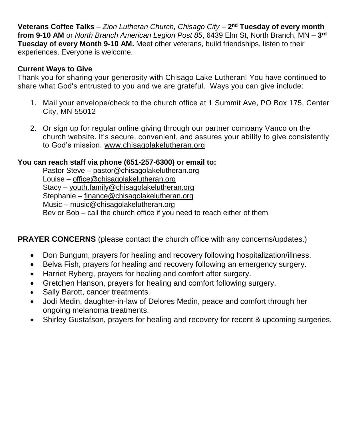**Veterans Coffee Talks** – *Zion Lutheran Church, Chisago City* – **2 nd Tuesday of every month from 9-10 AM** or *North Branch American Legion Post 85*, 6439 Elm St, North Branch, MN – **3 rd Tuesday of every Month 9-10 AM.** Meet other veterans, build friendships, listen to their experiences. Everyone is welcome.

### **Current Ways to Give**

Thank you for sharing your generosity with Chisago Lake Lutheran! You have continued to share what God's entrusted to you and we are grateful. Ways you can give include:

- 1. Mail your envelope/check to the church office at 1 Summit Ave, PO Box 175, Center City, MN 55012
- 2. Or sign up for regular online giving through our partner company Vanco on the church [website.](https://www.eservicepayments.com/cgi-bin/Vanco_ver3.vps?appver3=wWsk24ZWJSTZKsGd1RMKlg0BDvsSG3VIWQCPJNNxD8upkiY7JlDavDsozUE7KG0nFx2NSo8LdUKGuGuF396vbUm5LNljBPNnBOEFTzKhxx-XHubq5Z7ap5JVmPErc4ZeYHCKCZhESjGNQmZ5B-6dx3x8KCRzq4DlLabxS1KshoM=&ver=3) It's secure, convenient, and assures your ability to give consistently to God's mission. [www.chisagolakelutheran.org](http://www.chisagolakelutheran.org/)

## **You can reach staff via phone (651-257-6300) or email to:**

Pastor Steve – [pastor@chisagolakelutheran.org](mailto:pastor@chisagolakelutheran.org) Louise – [office@chisagolakelutheran.org](mailto:office@chisagolakelutheran.org) Stacy – [youth.family@chisagolakelutheran.org](mailto:youth.family@chisagolakelutheran.org) Stephanie – [finance@chisagolakelutheran.org](mailto:finance@chisagolakelutheran.org) Music – [music@chisagolakelutheran.org](mailto:music@chisagolakelutheran.org) Bev or Bob – call the church office if you need to reach either of them

## **PRAYER CONCERNS** (please contact the church office with any concerns/updates.)

- Don Bungum, prayers for healing and recovery following hospitalization/illness.
- Belva Fish, prayers for healing and recovery following an emergency surgery.
- Harriet Ryberg, prayers for healing and comfort after surgery.
- Gretchen Hanson, prayers for healing and comfort following surgery.
- Sally Barott, cancer treatments.
- Jodi Medin, daughter-in-law of Delores Medin, peace and comfort through her ongoing melanoma treatments.
- Shirley Gustafson, prayers for healing and recovery for recent & upcoming surgeries.